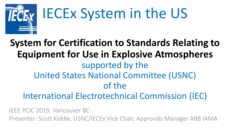

# IECEx System in the US

#### **System for Certification to Standards Relating to Equipment for Use in Explosive Atmospheres**  supported by the United States National Committee (USNC) of the International Electrotechnical Commission (IEC)

IEEE PCIC 2019, Vancouver BC Presenter: Scott Kiddle, USNC/IECEx Vice Chair, Approvals Manager ABB IAMA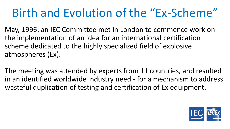### Birth and Evolution of the "Ex-Scheme"

May, 1996: an IEC Committee met in London to commence work on the implementation of an idea for an international certification scheme dedicated to the highly specialized field of explosive atmospheres (Ex).

The meeting was attended by experts from 11 countries, and resulted in an identified worldwide industry need - for a mechanism to address wasteful duplication of testing and certification of Ex equipment.

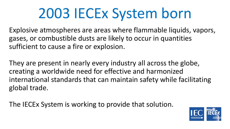## 2003 IECEx System born

Explosive atmospheres are areas where flammable liquids, vapors, gases, or combustible dusts are likely to occur in quantities sufficient to cause a fire or explosion.

They are present in nearly every industry all across the globe, creating a worldwide need for effective and harmonized international standards that can maintain safety while facilitating global trade.

The IECEx System is working to provide that solution.

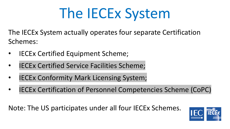# The IECEx System

The IECEx System actually operates four separate Certification Schemes:

- **IECEx Certified Equipment Scheme;**
- **IECEx Certified Service Facilities Scheme;**
- **IECEx Conformity Mark Licensing System;**
- IECEx Certification of Personnel Competencies Scheme (CoPC)

Note: The US participates under all four IECEx Schemes.

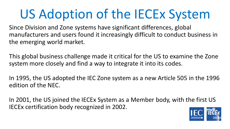## US Adoption of the IECEx System

Since Division and Zone systems have significant differences, global manufacturers and users found it increasingly difficult to conduct business in the emerging world market.

This global business challenge made it critical for the US to examine the Zone system more closely and find a way to integrate it into its codes.

In 1995, the US adopted the IEC Zone system as a new Article 505 in the 1996 edition of the NEC.

In 2001, the US joined the IECEx System as a Member body, with the first US IECEx certification body recognized in 2002.

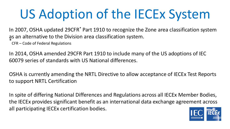## US Adoption of the IECEx System

In 2007, OSHA updated 29CFR\* Part 1910 to recognize the Zone area classification system as an alternative to the Division area classification system. \*

CFR – Code of Federal Regulations

In 2014, OSHA amended 29CFR Part 1910 to include many of the US adoptions of IEC 60079 series of standards with US National differences.

OSHA is currently amending the NRTL Directive to allow acceptance of IECEx Test Reports to support NRTL Certification

In spite of differing National Differences and Regulations across all IECEx Member Bodies, the IECEx provides significant benefit as an international data exchange agreement across all participating IECEx certification bodies.

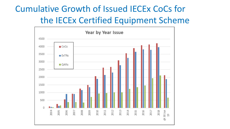#### Cumulative Growth of Issued IECEx CoCs for the IECEx Certified Equipment Scheme

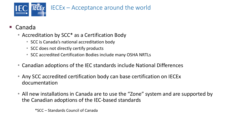

- Canada
	- Accreditation by SCC<sup>\*</sup> as a Certification Body
		- SCC is Canada's national accreditation body
		- SCC does not directly certify products
		- SCC accredited Certification Bodies include many OSHA NRTLs
	- Canadian adoptions of the IEC standards include National Differences
	- Any SCC accredited certification body can base certification on IECEx documentation
	- All new installations in Canada are to use the "Zone" system and are supported by the Canadian adoptions of the IEC-based standards

\*SCC – Standards Council of Canada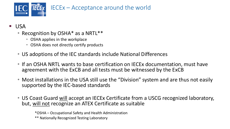

- USA
	- Recognition by OSHA<sup>\*</sup> as a NRTL<sup>\*\*</sup>
		- OSHA applies in the workplace
		- OSHA does not directly certify products
	- US adoptions of the IEC standards include National Differences
	- If an OSHA NRTL wants to base certification on IECEx documentation, must have agreement with the ExCB and all tests must be witnessed by the ExCB
	- Most installations in the USA still use the "Division" system and are thus not easily supported by the IEC-based standards
	- US Coast Guard will accept an IECEx Certificate from a USCG recognized laboratory, but, will not recognize an ATEX Certificate as suitable

\*OSHA – Occupational Safety and Health Administration \*\* Nationally Recognized Testing Laboratory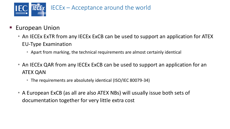

- **European Union** 
	- An IECEx ExTR from any IECEx ExCB can be used to support an application for ATEX EU-Type Examination
		- Apart from marking, the technical requirements are almost certainly identical
	- An IECEx QAR from any IECEx ExCB can be used to support an application for an ATEX QAN
		- The requirements are absolutely identical (ISO/IEC 80079-34)
	- A European ExCB (as all are also ATEX NBs) will usually issue both sets of documentation together for very little extra cost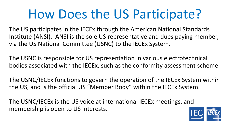### How Does the US Participate?

The US participates in the IECEx through the American National Standards Institute (ANSI). ANSI is the sole US representative and dues paying member, via the US National Committee (USNC) to the IECEx System.

The USNC is responsible for US representation in various electrotechnical bodies associated with the IECEx, such as the conformity assessment scheme.

The USNC/IECEx functions to govern the operation of the IECEx System within the US, and is the official US "Member Body" within the IECEx System.

The USNC/IECEx is the US voice at international IECEx meetings, and membership is open to US interests.

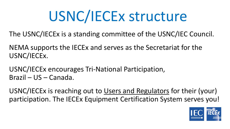# USNC/IECEx structure

The USNC/IECEx is a standing committee of the USNC/IEC Council.

NEMA supports the IECEx and serves as the Secretariat for the USNC/IECEx.

USNC/IECEx encourages Tri-National Participation, Brazil – US – Canada.

USNC/IECEx is reaching out to Users and Regulators for their (your) participation. The IECEx Equipment Certification System serves you!